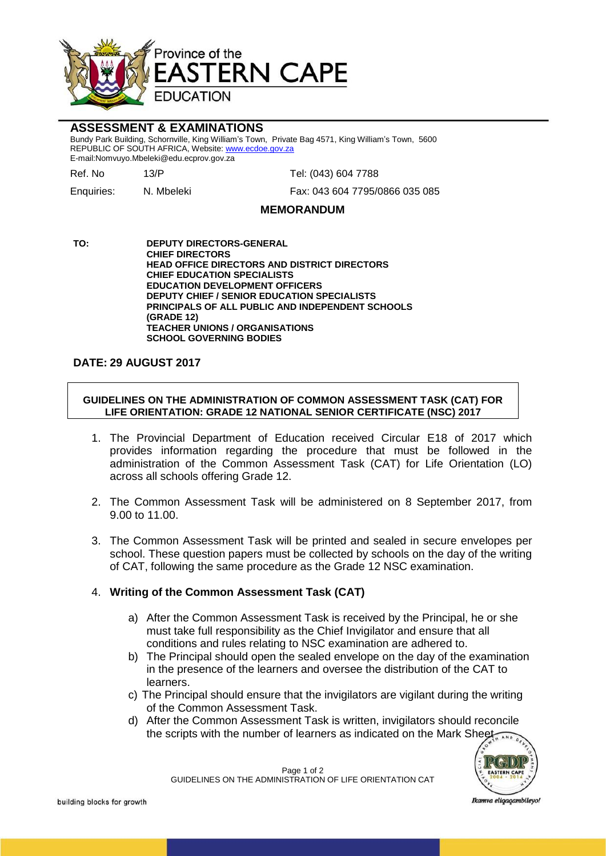

# **ASSESSMENT & EXAMINATIONS**

Bundy Park Building, Schornville, King William's Town, Private Bag 4571, King William's Town, 5600 REPUBLIC OF SOUTH AFRICA, Website: www.ecdoe.gov.za E-mail:Nomvuyo.Mbeleki@edu.ecprov.gov.za

Ref. No 13/P Tel: (043) 604 7788

Enquiries: N. Mbeleki Fax: 043 604 7795/0866 035 085

#### **MEMORANDUM**

**TO: DEPUTY DIRECTORS-GENERAL CHIEF DIRECTORS HEAD OFFICE DIRECTORS AND DISTRICT DIRECTORS CHIEF EDUCATION SPECIALISTS EDUCATION DEVELOPMENT OFFICERS DEPUTY CHIEF / SENIOR EDUCATION SPECIALISTS PRINCIPALS OF ALL PUBLIC AND INDEPENDENT SCHOOLS (GRADE 12) TEACHER UNIONS / ORGANISATIONS SCHOOL GOVERNING BODIES**

### **DATE: 29 AUGUST 2017**

#### **GUIDELINES ON THE ADMINISTRATION OF COMMON ASSESSMENT TASK (CAT) FOR LIFE ORIENTATION: GRADE 12 NATIONAL SENIOR CERTIFICATE (NSC) 2017**

- 1. The Provincial Department of Education received Circular E18 of 2017 which provides information regarding the procedure that must be followed in the administration of the Common Assessment Task (CAT) for Life Orientation (LO) across all schools offering Grade 12.
- 2. The Common Assessment Task will be administered on 8 September 2017, from 9.00 to 11.00.
- 3. The Common Assessment Task will be printed and sealed in secure envelopes per school. These question papers must be collected by schools on the day of the writing of CAT, following the same procedure as the Grade 12 NSC examination.

# 4. **Writing of the Common Assessment Task (CAT)**

- a) After the Common Assessment Task is received by the Principal, he or she must take full responsibility as the Chief Invigilator and ensure that all conditions and rules relating to NSC examination are adhered to.
- b) The Principal should open the sealed envelope on the day of the examination in the presence of the learners and oversee the distribution of the CAT to learners.
- c) The Principal should ensure that the invigilators are vigilant during the writing of the Common Assessment Task.
- d) After the Common Assessment Task is written, invigilators should reconcile the scripts with the number of learners as indicated on the Mark Sheet



Page 1 of 2 GUIDELINES ON THE ADMINISTRATION OF LIFE ORIENTATION CAT